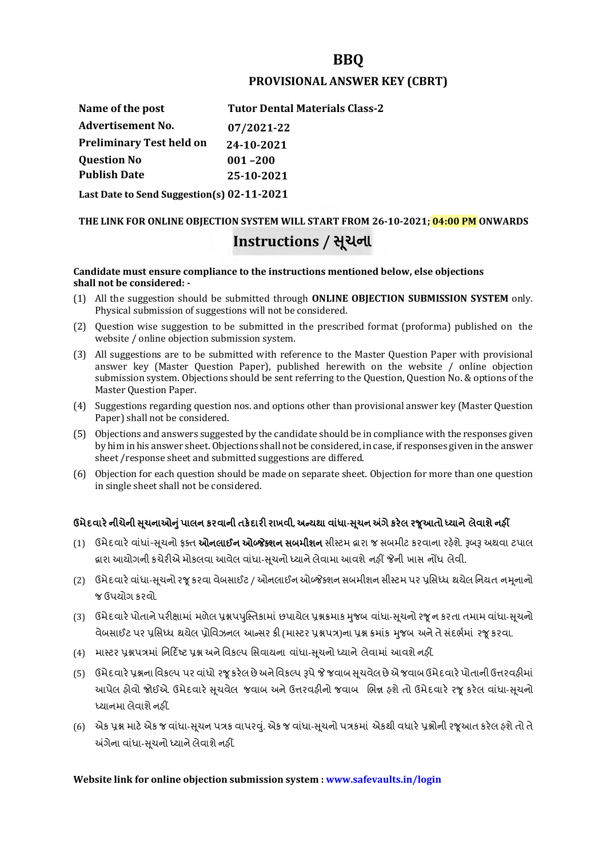# **BBQ**

### **PROVISIONAL ANSWER KEY (CBRT)**

| Name of the post                           | <b>Tutor Dental Materials Class-2</b> |
|--------------------------------------------|---------------------------------------|
| <b>Advertisement No.</b>                   | 07/2021-22                            |
| <b>Preliminary Test held on</b>            | 24-10-2021                            |
| <b>Question No</b>                         | $001 - 200$                           |
| <b>Publish Date</b>                        | 25-10-2021                            |
| Last Date to Send Suggestion(s) 02-11-2021 |                                       |

# **THE LINK FOR ONLINE OBJECTION SYSTEM WILL START FROM 26-10-2021; 04:00 PM ONWARDS Instructions / Ʌચના ૂ**

#### **Candidate must ensure compliance to the instructions mentioned below, else objections shall not be considered: -**

- (1) All the suggestion should be submitted through **ONLINE OBJECTION SUBMISSION SYSTEM** only. Physical submission of suggestions will not be considered.
- (2) Question wise suggestion to be submitted in the prescribed format (proforma) published on the website / online objection submission system.
- (3) All suggestions are to be submitted with reference to the Master Question Paper with provisional answer key (Master Question Paper), published herewith on the website / online objection submission system. Objections should be sent referring to the Question, Question No. & options of the Master Question Paper.
- (4) Suggestions regarding question nos. and options other than provisional answer key (Master Question Paper) shall not be considered.
- (5) Objections and answers suggested by the candidate should be in compliance with the responses given by him in his answer sheet. Objections shall not be considered, in case, if responses given in the answer sheet /response sheet and submitted suggestions are differed.
- (6) Objection for each question should be made on separate sheet. Objection for more than one question in single sheet shall not be considered.

# **ઉમેદવાર°નીચેની Ʌ ૂચનાઓȵુંપાલન કરવાની તક°દાર રાખવી, અƛયથા વા ંધા-Ʌ ૂચન Ӕગેકર°લ રȩૂઆતો ƚયાને લેવાશેનહӄ**

- (1) ઉમેદવારે વાંધાં-સુચનો ફક્ત **ઓનલાઈન ઓબ્જેક્શન સબમીશન** સીસ્ટમ હ્રારા જ સબમીટ કરવાના રહેશે. રૂબરૂ અથવા ટપાલ હ્રારા આયોગની કચેરીએ મોકલવા આવેલ વાંધા-સૂચનો ધ્યાને લેવામા આવશે નહીં જેની ખાસ નોંધ લેવી.
- (2) ઉમેદવારે વાંધા-સૂચનો રજૂ કરવા વેબસાઈટ / ઓનલાઈન ઓબ્જેક્શન સબમીશન સીસ્ટમ પર પ્રસિધ્ધ થયેલ નિયત નમનાનો જ ઉપયોગ કરવો.
- (3) ઉમેદવારે પોતાને પરીક્ષામાં મળેલ પ્રશ્નપપુસ્તિકામાં છપાયેલ પ્રશ્નક્રમાક મુજબ વાંધા-સૂચનો રજૂન કરતા તમામ વાંધા-સૂચનો વેબસાઈટ પર પ્રસિધ્ધ થયેલ પ્રોવિઝનલ આન્સર કી (માસ્ટર પ્રશ્નપત્ર)ના પ્રશ્ન ક્રમાંક મજબ અને તે સંદર્ભમાં ૨જ કરવા.
- (4) માસ્ટર પ્રશ્નપત્રમાં નિર્દિષ્ટ પ્રશ્ન અને વિકલ્પ સિવાયના વાંધા-સચનો ધ્યાને લેવામાં આવશે નહીં.
- (5) ઉમેદવારે પ્રશ્નના વિકલ્પ પર વાંધો રજૂ કરેલ છે અને વિકલ્પ રૂપે જે જવાબ સુચવેલ છે એ જવાબ ઉમેદવારે પોતાની ઉત્તરવહીમાં આપેલ હોવો જોઈએ. ઉમેદવારે સૂચવેલ જવાબ અને ઉત્તરવહીનો જવાબ ભિન્ન હશે તો ઉમેદવારે રજૂ કરેલ વાંધા-સૂચનો ધ્યાનમા લેવાશે નહીં.
- (6) એક પ્રશ્ન માટે એક જ વાંધા-સૂચન પત્રક વાપરવું. એક જ વાંધા-સૂચનો પત્રકમાં એકથી વધારે પ્રશ્નોની રજૂઆત કરેલ હશે તો તે અંગેના વાંધા-સુચનો ધ્યાને લેવાશે નહીં.

# **Website link for online objection submission system : www.safevaults.in/login**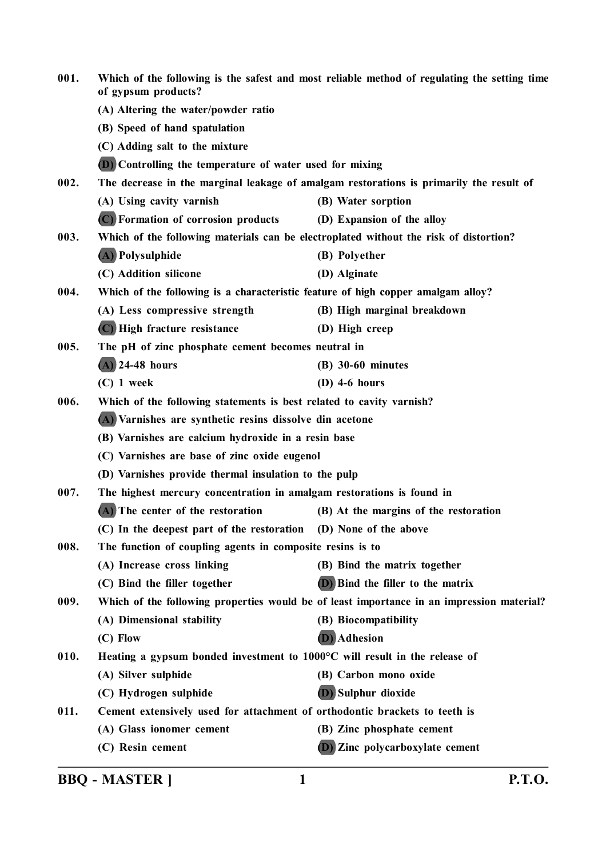| 001. | Which of the following is the safest and most reliable method of regulating the setting time<br>of gypsum products? |                                                                                           |
|------|---------------------------------------------------------------------------------------------------------------------|-------------------------------------------------------------------------------------------|
|      | (A) Altering the water/powder ratio                                                                                 |                                                                                           |
|      | (B) Speed of hand spatulation                                                                                       |                                                                                           |
|      | (C) Adding salt to the mixture                                                                                      |                                                                                           |
|      | <b>(D)</b> Controlling the temperature of water used for mixing                                                     |                                                                                           |
| 002. |                                                                                                                     | The decrease in the marginal leakage of amalgam restorations is primarily the result of   |
|      | (A) Using cavity varnish                                                                                            | (B) Water sorption                                                                        |
|      | (C) Formation of corrosion products                                                                                 | (D) Expansion of the alloy                                                                |
| 003. | Which of the following materials can be electroplated without the risk of distortion?                               |                                                                                           |
|      | (A) Polysulphide                                                                                                    | (B) Polyether                                                                             |
|      | (C) Addition silicone                                                                                               | (D) Alginate                                                                              |
| 004. | Which of the following is a characteristic feature of high copper amalgam alloy?                                    |                                                                                           |
|      | (A) Less compressive strength                                                                                       | (B) High marginal breakdown                                                               |
|      | (C) High fracture resistance                                                                                        | (D) High creep                                                                            |
| 005. | The pH of zinc phosphate cement becomes neutral in                                                                  |                                                                                           |
|      | $(A)$ 24-48 hours                                                                                                   | $(B)$ 30-60 minutes                                                                       |
|      | $(C)$ 1 week                                                                                                        | $(D)$ 4-6 hours                                                                           |
| 006. | Which of the following statements is best related to cavity varnish?                                                |                                                                                           |
|      | (A) Varnishes are synthetic resins dissolve din acetone                                                             |                                                                                           |
|      | (B) Varnishes are calcium hydroxide in a resin base                                                                 |                                                                                           |
|      | (C) Varnishes are base of zinc oxide eugenol                                                                        |                                                                                           |
|      | (D) Varnishes provide thermal insulation to the pulp                                                                |                                                                                           |
| 007. | The highest mercury concentration in amalgam restorations is found in                                               |                                                                                           |
|      | (A) The center of the restoration                                                                                   | (B) At the margins of the restoration                                                     |
|      | (C) In the deepest part of the restoration (D) None of the above                                                    |                                                                                           |
| 008. | The function of coupling agents in composite resins is to                                                           |                                                                                           |
|      | (A) Increase cross linking                                                                                          | (B) Bind the matrix together                                                              |
|      | (C) Bind the filler together                                                                                        | (D) Bind the filler to the matrix                                                         |
| 009. |                                                                                                                     | Which of the following properties would be of least importance in an impression material? |
|      | (A) Dimensional stability                                                                                           | (B) Biocompatibility                                                                      |
|      | (C) Flow                                                                                                            | (D) Adhesion                                                                              |
| 010. | Heating a gypsum bonded investment to 1000°C will result in the release of                                          |                                                                                           |
|      | (A) Silver sulphide                                                                                                 | (B) Carbon mono oxide                                                                     |
|      | (C) Hydrogen sulphide                                                                                               | (D) Sulphur dioxide                                                                       |
| 011. | Cement extensively used for attachment of orthodontic brackets to teeth is                                          |                                                                                           |
|      | (A) Glass ionomer cement                                                                                            | (B) Zinc phosphate cement                                                                 |
|      | (C) Resin cement                                                                                                    | <b>D</b> ) Zinc polycarboxylate cement                                                    |
|      |                                                                                                                     |                                                                                           |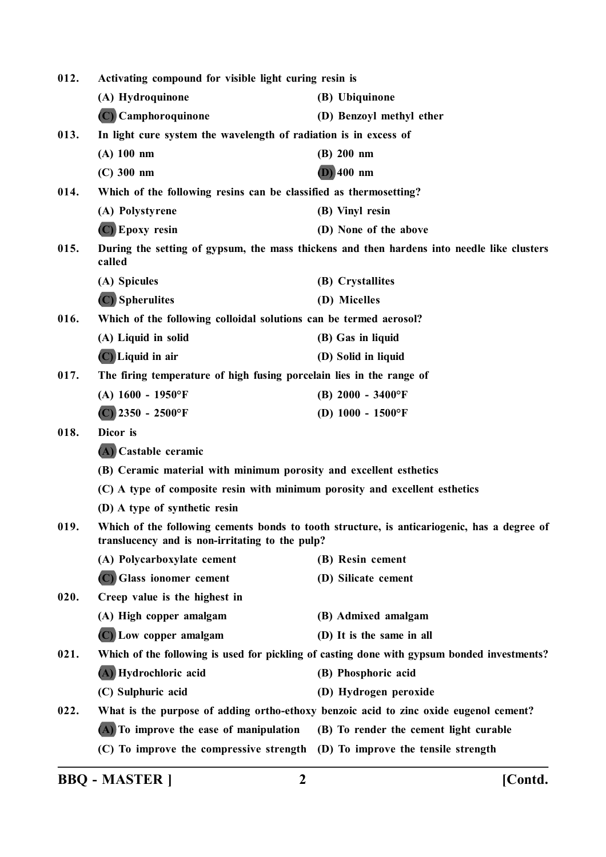| 012. | Activating compound for visible light curing resin is                       |                                                                                             |
|------|-----------------------------------------------------------------------------|---------------------------------------------------------------------------------------------|
|      | (A) Hydroquinone                                                            | (B) Ubiquinone                                                                              |
|      | (C) Camphoroquinone                                                         | (D) Benzoyl methyl ether                                                                    |
| 013. | In light cure system the wavelength of radiation is in excess of            |                                                                                             |
|      | $(A)$ 100 nm                                                                | (B) 200 nm                                                                                  |
|      | $(C)$ 300 nm                                                                | $(D)$ 400 nm                                                                                |
| 014. | Which of the following resins can be classified as thermosetting?           |                                                                                             |
|      | (A) Polystyrene                                                             | (B) Vinyl resin                                                                             |
|      | (C) Epoxy resin                                                             | (D) None of the above                                                                       |
| 015. | called                                                                      | During the setting of gypsum, the mass thickens and then hardens into needle like clusters  |
|      | (A) Spicules                                                                | (B) Crystallites                                                                            |
|      | (C) Spherulites                                                             | (D) Micelles                                                                                |
| 016. | Which of the following colloidal solutions can be termed aerosol?           |                                                                                             |
|      | (A) Liquid in solid                                                         | (B) Gas in liquid                                                                           |
|      | $(C)$ Liquid in air                                                         | (D) Solid in liquid                                                                         |
| 017. | The firing temperature of high fusing porcelain lies in the range of        |                                                                                             |
|      | (A) $1600 - 1950$ °F                                                        | (B) $2000 - 3400$ °F                                                                        |
|      | $(C)$ 2350 - 2500°F                                                         | (D) $1000 - 1500$ °F                                                                        |
| 018. | Dicor is                                                                    |                                                                                             |
|      | (A) Castable ceramic                                                        |                                                                                             |
|      | (B) Ceramic material with minimum porosity and excellent esthetics          |                                                                                             |
|      | (C) A type of composite resin with minimum porosity and excellent esthetics |                                                                                             |
|      | (D) A type of synthetic resin                                               |                                                                                             |
| 019. | translucency and is non-irritating to the pulp?                             | Which of the following cements bonds to tooth structure, is anticariogenic, has a degree of |
|      | (A) Polycarboxylate cement                                                  | (B) Resin cement                                                                            |
|      | (C) Glass ionomer cement                                                    | (D) Silicate cement                                                                         |
| 020. | Creep value is the highest in                                               |                                                                                             |
|      | (A) High copper amalgam                                                     | (B) Admixed amalgam                                                                         |
|      | (C) Low copper amalgam                                                      | (D) It is the same in all                                                                   |
| 021. |                                                                             | Which of the following is used for pickling of casting done with gypsum bonded investments? |
|      | (A) Hydrochloric acid                                                       | (B) Phosphoric acid                                                                         |
|      | (C) Sulphuric acid                                                          | (D) Hydrogen peroxide                                                                       |
| 022. |                                                                             | What is the purpose of adding ortho-ethoxy benzoic acid to zinc oxide eugenol cement?       |
|      | (A) To improve the ease of manipulation                                     | (B) To render the cement light curable                                                      |
|      | (C) To improve the compressive strength (D) To improve the tensile strength |                                                                                             |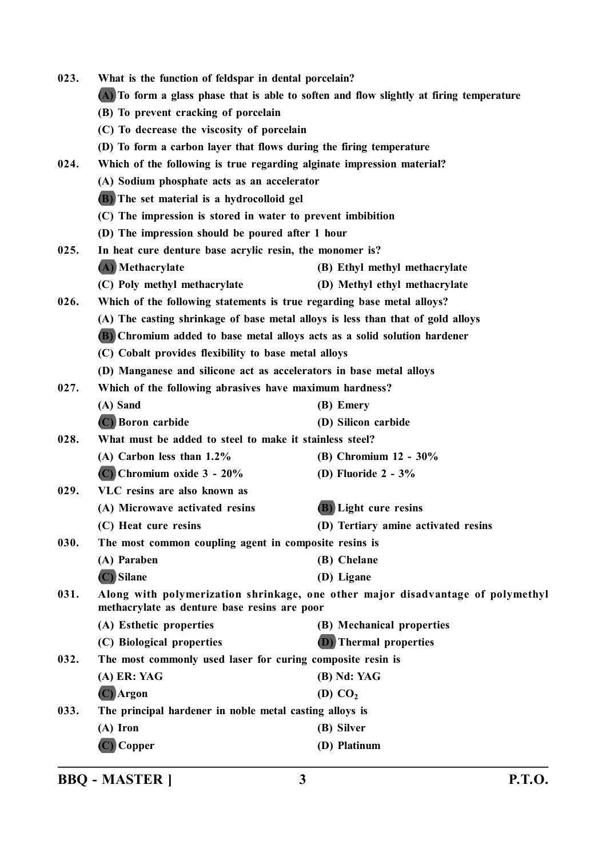| 023. | What is the function of feldspar in dental porcelain?                                    |                                                                                 |
|------|------------------------------------------------------------------------------------------|---------------------------------------------------------------------------------|
|      | (A) To form a glass phase that is able to soften and flow slightly at firing temperature |                                                                                 |
|      | (B) To prevent cracking of porcelain                                                     |                                                                                 |
|      | (C) To decrease the viscosity of porcelain                                               |                                                                                 |
|      | (D) To form a carbon layer that flows during the firing temperature                      |                                                                                 |
| 024. | Which of the following is true regarding alginate impression material?                   |                                                                                 |
|      | (A) Sodium phosphate acts as an accelerator                                              |                                                                                 |
|      | (B) The set material is a hydrocolloid gel                                               |                                                                                 |
|      | (C) The impression is stored in water to prevent imbibition                              |                                                                                 |
|      | (D) The impression should be poured after 1 hour                                         |                                                                                 |
| 025. | In heat cure denture base acrylic resin, the monomer is?                                 |                                                                                 |
|      | (A) Methacrylate                                                                         | (B) Ethyl methyl methacrylate                                                   |
|      | (C) Poly methyl methacrylate                                                             | (D) Methyl ethyl methacrylate                                                   |
| 026. | Which of the following statements is true regarding base metal alloys?                   |                                                                                 |
|      | (A) The casting shrinkage of base metal alloys is less than that of gold alloys          |                                                                                 |
|      | (B) Chromium added to base metal alloys acts as a solid solution hardener                |                                                                                 |
|      | (C) Cobalt provides flexibility to base metal alloys                                     |                                                                                 |
|      | (D) Manganese and silicone act as accelerators in base metal alloys                      |                                                                                 |
| 027. | Which of the following abrasives have maximum hardness?                                  |                                                                                 |
|      | (A) Sand                                                                                 | (B) Emery                                                                       |
|      | (C) Boron carbide                                                                        | (D) Silicon carbide                                                             |
| 028. | What must be added to steel to make it stainless steel?                                  |                                                                                 |
|      | $(A)$ Carbon less than $1.2\%$                                                           | (B) Chromium 12 - 30%                                                           |
|      | $(C)$ Chromium oxide $3 - 20\%$                                                          | (D) Fluoride $2 - 3\%$                                                          |
| 029. | VLC resins are also known as                                                             |                                                                                 |
|      | (A) Microwave activated resins                                                           | (B) Light cure resins                                                           |
|      | (C) Heat cure resins                                                                     | (D) Tertiary amine activated resins                                             |
| 030. | The most common coupling agent in composite resins is                                    |                                                                                 |
|      | (A) Paraben                                                                              | (B) Chelane                                                                     |
|      | (C) Silane                                                                               | (D) Ligane                                                                      |
| 031. | methacrylate as denture base resins are poor                                             | Along with polymerization shrinkage, one other major disadvantage of polymethyl |
|      | (A) Esthetic properties                                                                  | (B) Mechanical properties                                                       |
|      | (C) Biological properties                                                                | <b>(D)</b> Thermal properties                                                   |
| 032. | The most commonly used laser for curing composite resin is                               |                                                                                 |
|      | (A) ER: YAG                                                                              | (B) Nd: YAG                                                                     |
|      | (C) Argon                                                                                | (D) CO <sub>2</sub>                                                             |
| 033. | The principal hardener in noble metal casting alloys is                                  |                                                                                 |
|      | $(A)$ Iron                                                                               | (B) Silver                                                                      |
|      | (C) Copper                                                                               | (D) Platinum                                                                    |
|      |                                                                                          |                                                                                 |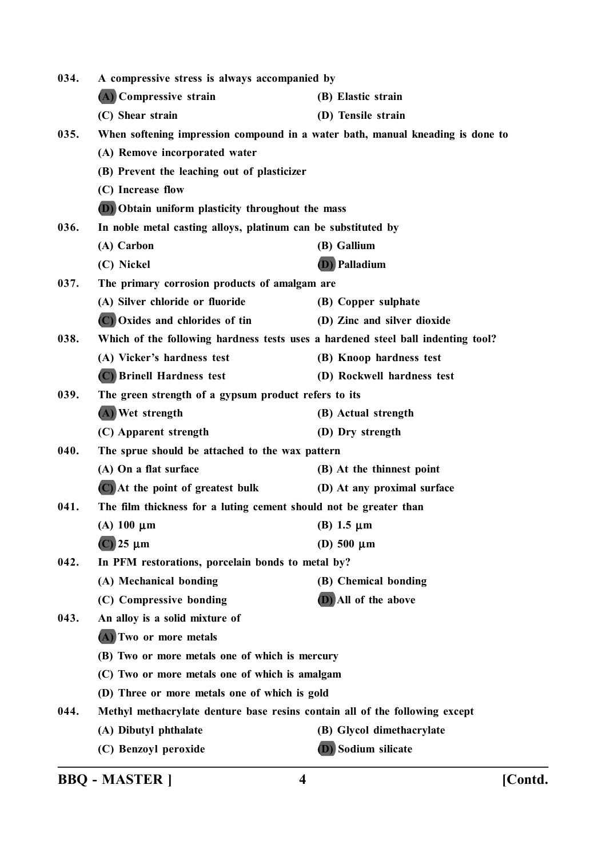| 034. | A compressive stress is always accompanied by                                    |                             |
|------|----------------------------------------------------------------------------------|-----------------------------|
|      | (A) Compressive strain                                                           | (B) Elastic strain          |
|      | (C) Shear strain                                                                 | (D) Tensile strain          |
| 035. | When softening impression compound in a water bath, manual kneading is done to   |                             |
|      | (A) Remove incorporated water                                                    |                             |
|      | (B) Prevent the leaching out of plasticizer                                      |                             |
|      | (C) Increase flow                                                                |                             |
|      | (D) Obtain uniform plasticity throughout the mass                                |                             |
| 036. | In noble metal casting alloys, platinum can be substituted by                    |                             |
|      | (A) Carbon                                                                       | (B) Gallium                 |
|      | (C) Nickel                                                                       | (D) Palladium               |
| 037. | The primary corrosion products of amalgam are                                    |                             |
|      | (A) Silver chloride or fluoride                                                  | (B) Copper sulphate         |
|      | (C) Oxides and chlorides of tin                                                  | (D) Zinc and silver dioxide |
| 038. | Which of the following hardness tests uses a hardened steel ball indenting tool? |                             |
|      | (A) Vicker's hardness test                                                       | (B) Knoop hardness test     |
|      | (C) Brinell Hardness test                                                        | (D) Rockwell hardness test  |
| 039. | The green strength of a gypsum product refers to its                             |                             |
|      | (A) Wet strength                                                                 | (B) Actual strength         |
|      | (C) Apparent strength                                                            | (D) Dry strength            |
| 040. | The sprue should be attached to the wax pattern                                  |                             |
|      | (A) On a flat surface                                                            | (B) At the thinnest point   |
|      | $(C)$ At the point of greatest bulk                                              | (D) At any proximal surface |
| 041. | The film thickness for a luting cement should not be greater than                |                             |
|      | $(A)$ 100 $\mu$ m                                                                | (B) 1.5 $\mu$ m             |
|      | $(C)$ 25 µm                                                                      | (D) $500 \mu m$             |
| 042. | In PFM restorations, porcelain bonds to metal by?                                |                             |
|      | (A) Mechanical bonding                                                           | (B) Chemical bonding        |
|      | (C) Compressive bonding                                                          | (D) All of the above        |
| 043. | An alloy is a solid mixture of                                                   |                             |
|      | (A) Two or more metals                                                           |                             |
|      | (B) Two or more metals one of which is mercury                                   |                             |
|      | (C) Two or more metals one of which is amalgam                                   |                             |
|      | (D) Three or more metals one of which is gold                                    |                             |
| 044. | Methyl methacrylate denture base resins contain all of the following except      |                             |
|      | (A) Dibutyl phthalate                                                            | (B) Glycol dimethacrylate   |
|      | (C) Benzoyl peroxide                                                             | <b>(D)</b> Sodium silicate  |

**BBQ - MASTER ] 4 [Contd.**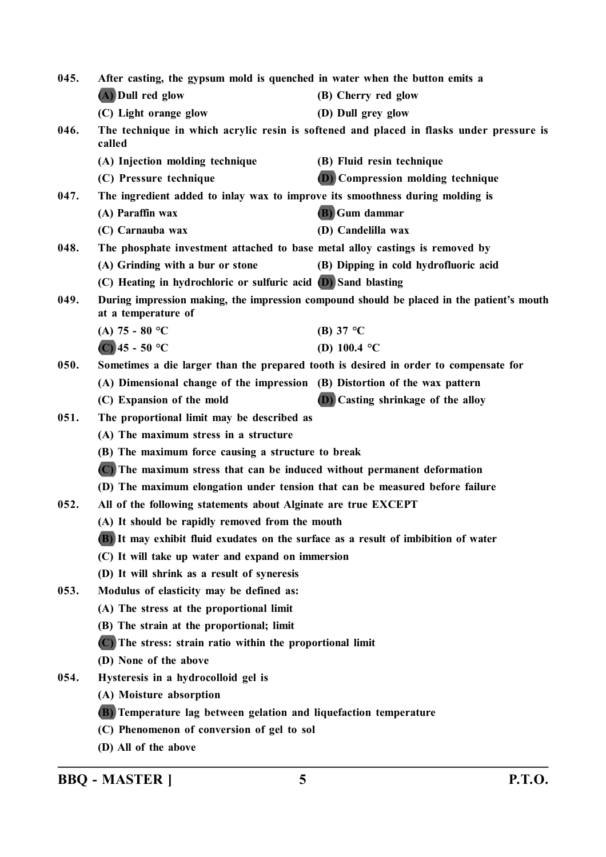| 045. | After casting, the gypsum mold is quenched in water when the button emits a          |                                                                                           |
|------|--------------------------------------------------------------------------------------|-------------------------------------------------------------------------------------------|
|      | (A) Dull red glow                                                                    | (B) Cherry red glow                                                                       |
|      | (C) Light orange glow                                                                | (D) Dull grey glow                                                                        |
| 046. | called                                                                               | The technique in which acrylic resin is softened and placed in flasks under pressure is   |
|      | (A) Injection molding technique                                                      | (B) Fluid resin technique                                                                 |
|      | (C) Pressure technique                                                               | <b>(D)</b> Compression molding technique                                                  |
| 047. | The ingredient added to inlay wax to improve its smoothness during molding is        |                                                                                           |
|      | (A) Paraffin wax                                                                     | (B) Gum dammar                                                                            |
|      | (C) Carnauba wax                                                                     | (D) Candelilla wax                                                                        |
| 048. | The phosphate investment attached to base metal alloy castings is removed by         |                                                                                           |
|      | (A) Grinding with a bur or stone                                                     | (B) Dipping in cold hydrofluoric acid                                                     |
|      | (C) Heating in hydrochloric or sulfuric acid (D) Sand blasting                       |                                                                                           |
| 049. | at a temperature of                                                                  | During impression making, the impression compound should be placed in the patient's mouth |
|      | (A) $75 - 80$ °C                                                                     | (B) 37 $\degree$ C                                                                        |
|      | $(C)$ 45 - 50 °C                                                                     | (D) 100.4 $^{\circ}$ C                                                                    |
| 050. | Sometimes a die larger than the prepared tooth is desired in order to compensate for |                                                                                           |
|      | (A) Dimensional change of the impression (B) Distortion of the wax pattern           |                                                                                           |
|      | (C) Expansion of the mold                                                            | <b>(D)</b> Casting shrinkage of the alloy                                                 |
| 051. | The proportional limit may be described as                                           |                                                                                           |
|      | (A) The maximum stress in a structure                                                |                                                                                           |
|      | (B) The maximum force causing a structure to break                                   |                                                                                           |
|      | (C) The maximum stress that can be induced without permanent deformation             |                                                                                           |
|      | (D) The maximum elongation under tension that can be measured before failure         |                                                                                           |
| 052. | All of the following statements about Alginate are true EXCEPT                       |                                                                                           |
|      | (A) It should be rapidly removed from the mouth                                      |                                                                                           |
|      | (B) It may exhibit fluid exudates on the surface as a result of imbibition of water  |                                                                                           |
|      | (C) It will take up water and expand on immersion                                    |                                                                                           |
|      | (D) It will shrink as a result of syneresis                                          |                                                                                           |
| 053. | Modulus of elasticity may be defined as:                                             |                                                                                           |
|      | (A) The stress at the proportional limit                                             |                                                                                           |
|      | (B) The strain at the proportional; limit                                            |                                                                                           |
|      | (C) The stress: strain ratio within the proportional limit                           |                                                                                           |
|      | (D) None of the above                                                                |                                                                                           |
| 054. | Hysteresis in a hydrocolloid gel is                                                  |                                                                                           |
|      | (A) Moisture absorption                                                              |                                                                                           |
|      | (B) Temperature lag between gelation and liquefaction temperature                    |                                                                                           |
|      | (C) Phenomenon of conversion of gel to sol                                           |                                                                                           |
|      | (D) All of the above                                                                 |                                                                                           |
|      |                                                                                      |                                                                                           |

**BBQ - MASTER ] 5 P.T.O.**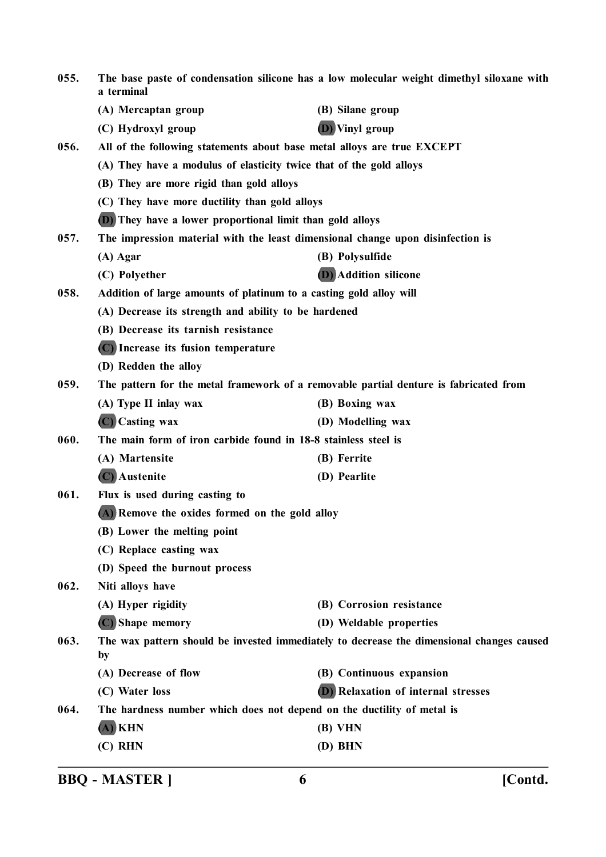| 055. | a terminal                                                                     | The base paste of condensation silicone has a low molecular weight dimethyl siloxane with |
|------|--------------------------------------------------------------------------------|-------------------------------------------------------------------------------------------|
|      | (A) Mercaptan group                                                            | (B) Silane group                                                                          |
|      | (C) Hydroxyl group                                                             | <b>D</b> ) Vinyl group                                                                    |
| 056. | All of the following statements about base metal alloys are true EXCEPT        |                                                                                           |
|      | (A) They have a modulus of elasticity twice that of the gold alloys            |                                                                                           |
|      | (B) They are more rigid than gold alloys                                       |                                                                                           |
|      | (C) They have more ductility than gold alloys                                  |                                                                                           |
|      | <b>(D)</b> They have a lower proportional limit than gold alloys               |                                                                                           |
| 057. | The impression material with the least dimensional change upon disinfection is |                                                                                           |
|      | $(A)$ Agar                                                                     | (B) Polysulfide                                                                           |
|      | (C) Polyether                                                                  | <b>(D)</b> Addition silicone                                                              |
| 058. | Addition of large amounts of platinum to a casting gold alloy will             |                                                                                           |
|      | (A) Decrease its strength and ability to be hardened                           |                                                                                           |
|      | (B) Decrease its tarnish resistance                                            |                                                                                           |
|      | (C) Increase its fusion temperature                                            |                                                                                           |
|      | (D) Redden the alloy                                                           |                                                                                           |
| 059. |                                                                                | The pattern for the metal framework of a removable partial denture is fabricated from     |
|      | (A) Type II inlay wax                                                          | (B) Boxing wax                                                                            |
|      | (C) Casting wax                                                                | (D) Modelling wax                                                                         |
| 060. | The main form of iron carbide found in 18-8 stainless steel is                 |                                                                                           |
|      | (A) Martensite                                                                 | (B) Ferrite                                                                               |
|      | (C) Austenite                                                                  | (D) Pearlite                                                                              |
| 061. | Flux is used during casting to                                                 |                                                                                           |
|      | (A) Remove the oxides formed on the gold alloy                                 |                                                                                           |
|      | (B) Lower the melting point                                                    |                                                                                           |
|      | (C) Replace casting wax                                                        |                                                                                           |
|      | (D) Speed the burnout process                                                  |                                                                                           |
| 062. | Niti alloys have                                                               |                                                                                           |
|      | (A) Hyper rigidity                                                             | (B) Corrosion resistance                                                                  |
|      | (C) Shape memory                                                               | (D) Weldable properties                                                                   |
| 063. | by                                                                             | The wax pattern should be invested immediately to decrease the dimensional changes caused |
|      | (A) Decrease of flow                                                           | (B) Continuous expansion                                                                  |
|      | (C) Water loss                                                                 | (D) Relaxation of internal stresses                                                       |
| 064. | The hardness number which does not depend on the ductility of metal is         |                                                                                           |
|      | $(A)$ KHN                                                                      | (B) VHN                                                                                   |
|      | $(C)$ RHN                                                                      | (D) BHN                                                                                   |
|      |                                                                                |                                                                                           |

**BBQ - MASTER ] 6 [Contd.**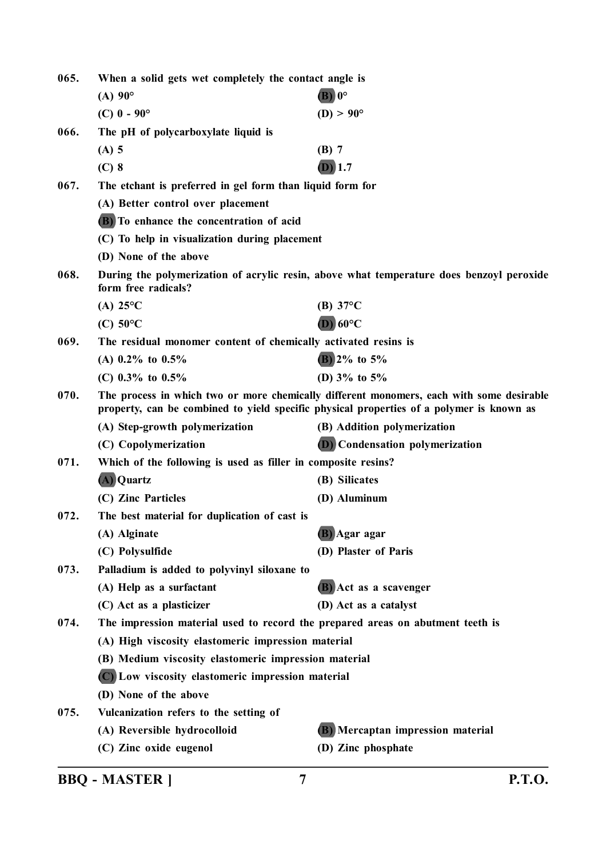| 065.<br>When a solid gets wet completely the contact angle is |                                                                                |                                                                                                                                                                                      |
|---------------------------------------------------------------|--------------------------------------------------------------------------------|--------------------------------------------------------------------------------------------------------------------------------------------------------------------------------------|
|                                                               | $(A)$ 90 $^{\circ}$                                                            | $\mathbf{B}$ ) 0°                                                                                                                                                                    |
|                                                               | $(C)$ 0 - 90 $^{\circ}$                                                        | $(D) > 90^{\circ}$                                                                                                                                                                   |
| 066.                                                          | The pH of polycarboxylate liquid is                                            |                                                                                                                                                                                      |
|                                                               | $(A)$ 5                                                                        | $(B)$ 7                                                                                                                                                                              |
|                                                               | $(C)$ 8                                                                        | $(D)$ 1.7                                                                                                                                                                            |
| 067.                                                          | The etchant is preferred in gel form than liquid form for                      |                                                                                                                                                                                      |
|                                                               | (A) Better control over placement                                              |                                                                                                                                                                                      |
|                                                               | (B) To enhance the concentration of acid                                       |                                                                                                                                                                                      |
|                                                               | (C) To help in visualization during placement                                  |                                                                                                                                                                                      |
|                                                               | (D) None of the above                                                          |                                                                                                                                                                                      |
| 068.                                                          | form free radicals?                                                            | During the polymerization of acrylic resin, above what temperature does benzoyl peroxide                                                                                             |
|                                                               | (A) $25^{\circ}$ C                                                             | (B) $37^{\circ}$ C                                                                                                                                                                   |
|                                                               | $(C)$ 50°C                                                                     | $(D)$ 60°C                                                                                                                                                                           |
| 069.                                                          | The residual monomer content of chemically activated resins is                 |                                                                                                                                                                                      |
|                                                               | (A) $0.2\%$ to $0.5\%$                                                         | $(B)$ 2% to 5%                                                                                                                                                                       |
|                                                               | (C) $0.3\%$ to $0.5\%$                                                         | (D) $3\%$ to $5\%$                                                                                                                                                                   |
| 070.                                                          |                                                                                | The process in which two or more chemically different monomers, each with some desirable<br>property, can be combined to yield specific physical properties of a polymer is known as |
|                                                               | (A) Step-growth polymerization                                                 | (B) Addition polymerization                                                                                                                                                          |
|                                                               | (C) Copolymerization                                                           | <b>(D)</b> Condensation polymerization                                                                                                                                               |
| 071.                                                          | Which of the following is used as filler in composite resins?                  |                                                                                                                                                                                      |
|                                                               | (A) Quartz                                                                     | (B) Silicates                                                                                                                                                                        |
|                                                               | (C) Zinc Particles                                                             | (D) Aluminum                                                                                                                                                                         |
| 072.                                                          | The best material for duplication of cast is                                   |                                                                                                                                                                                      |
|                                                               | (A) Alginate                                                                   | (B) Agar agar                                                                                                                                                                        |
|                                                               | (C) Polysulfide                                                                | (D) Plaster of Paris                                                                                                                                                                 |
| 073.                                                          | Palladium is added to polyvinyl siloxane to                                    |                                                                                                                                                                                      |
|                                                               | (A) Help as a surfactant                                                       | (B) Act as a scavenger                                                                                                                                                               |
|                                                               | (C) Act as a plasticizer                                                       | (D) Act as a catalyst                                                                                                                                                                |
| 074.                                                          | The impression material used to record the prepared areas on abutment teeth is |                                                                                                                                                                                      |
|                                                               | (A) High viscosity elastomeric impression material                             |                                                                                                                                                                                      |
|                                                               | (B) Medium viscosity elastomeric impression material                           |                                                                                                                                                                                      |
|                                                               | (C) Low viscosity elastomeric impression material                              |                                                                                                                                                                                      |
|                                                               | (D) None of the above                                                          |                                                                                                                                                                                      |
| 075.                                                          | Vulcanization refers to the setting of                                         |                                                                                                                                                                                      |
|                                                               | (A) Reversible hydrocolloid                                                    | (B) Mercaptan impression material                                                                                                                                                    |
|                                                               | (C) Zinc oxide eugenol                                                         | (D) Zinc phosphate                                                                                                                                                                   |

**BBQ - MASTER ] 7 P.T.O.**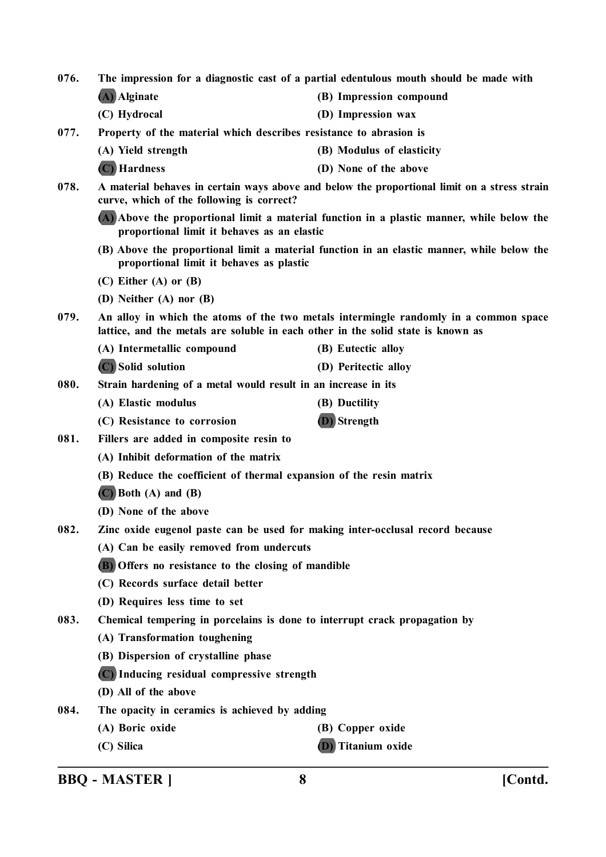**076. The impression for a diagnostic cast of a partial edentulous mouth should be made with (A) Alginate (B) Impression compound (C) Hydrocal (D) Impression wax 077. Property of the material which describes resistance to abrasion is (A) Yield strength (B) Modulus of elasticity (C) Hardness (D) None of the above 078. A material behaves in certain ways above and below the proportional limit on a stress strain curve, which of the following is correct? (A) Above the proportional limit a material function in a plastic manner, while below the proportional limit it behaves as an elastic (B) Above the proportional limit a material function in an elastic manner, while below the proportional limit it behaves as plastic (C) Either (A) or (B) (D) Neither (A) nor (B) 079. An alloy in which the atoms of the two metals intermingle randomly in a common space lattice, and the metals are soluble in each other in the solid state is known as (A) Intermetallic compound (B) Eutectic alloy (C) Solid solution (D) Peritectic alloy 080. Strain hardening of a metal would result in an increase in its (A) Elastic modulus (B) Ductility (C) Resistance to corrosion (D) Strength 081. Fillers are added in composite resin to (A) Inhibit deformation of the matrix (B) Reduce the coefficient of thermal expansion of the resin matrix (C) Both (A) and (B) (D) None of the above 082. Zinc oxide eugenol paste can be used for making inter-occlusal record because (A) Can be easily removed from undercuts (B) Offers no resistance to the closing of mandible (C) Records surface detail better (D) Requires less time to set 083. Chemical tempering in porcelains is done to interrupt crack propagation by (A) Transformation toughening (B) Dispersion of crystalline phase (C) Inducing residual compressive strength (D) All of the above 084. The opacity in ceramics is achieved by adding (A) Boric oxide (B) Copper oxide (C) Silica (D) Titanium oxide**

**BBQ - MASTER ] 8 [Contd.**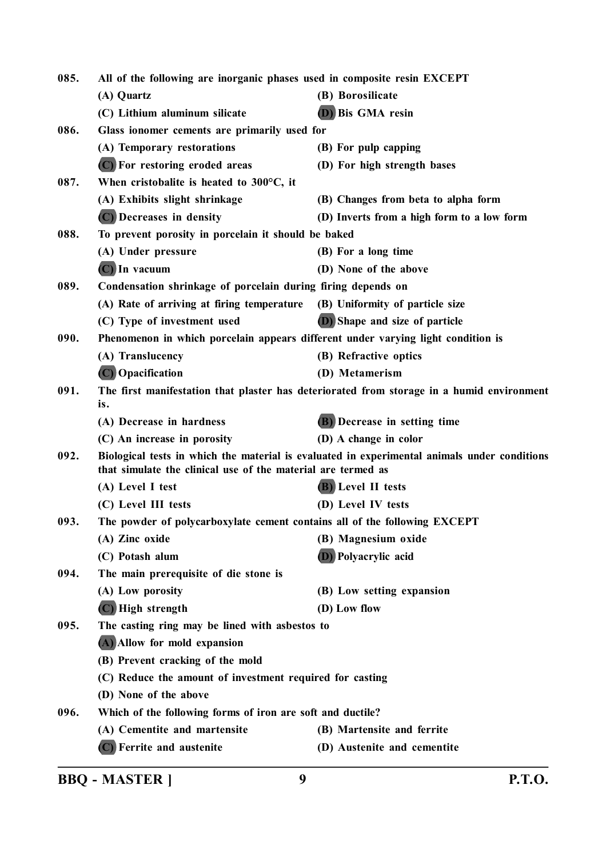| 085. | All of the following are inorganic phases used in composite resin EXCEPT         |                                                                                              |
|------|----------------------------------------------------------------------------------|----------------------------------------------------------------------------------------------|
|      | (A) Quartz                                                                       | (B) Borosilicate                                                                             |
|      | (C) Lithium aluminum silicate                                                    | (D) Bis GMA resin                                                                            |
| 086. | Glass ionomer cements are primarily used for                                     |                                                                                              |
|      | (A) Temporary restorations                                                       | (B) For pulp capping                                                                         |
|      | (C) For restoring eroded areas                                                   | (D) For high strength bases                                                                  |
| 087. | When cristobalite is heated to $300^{\circ}$ C, it                               |                                                                                              |
|      | (A) Exhibits slight shrinkage                                                    | (B) Changes from beta to alpha form                                                          |
|      | (C) Decreases in density                                                         | (D) Inverts from a high form to a low form                                                   |
| 088. | To prevent porosity in porcelain it should be baked                              |                                                                                              |
|      | (A) Under pressure                                                               | (B) For a long time                                                                          |
|      | $(C)$ In vacuum                                                                  | (D) None of the above                                                                        |
| 089. | Condensation shrinkage of porcelain during firing depends on                     |                                                                                              |
|      | (A) Rate of arriving at firing temperature                                       | (B) Uniformity of particle size                                                              |
|      | (C) Type of investment used                                                      | (D) Shape and size of particle                                                               |
| 090. | Phenomenon in which porcelain appears different under varying light condition is |                                                                                              |
|      | (A) Translucency                                                                 | (B) Refractive optics                                                                        |
|      | (C) Opacification                                                                | (D) Metamerism                                                                               |
| 091. | is.                                                                              | The first manifestation that plaster has deteriorated from storage in a humid environment    |
|      | (A) Decrease in hardness                                                         | (B) Decrease in setting time                                                                 |
|      | (C) An increase in porosity                                                      | (D) A change in color                                                                        |
| 092. | that simulate the clinical use of the material are termed as                     | Biological tests in which the material is evaluated in experimental animals under conditions |
|      | (A) Level I test                                                                 | (B) Level II tests                                                                           |
|      | (C) Level III tests                                                              | (D) Level IV tests                                                                           |
| 093. | The powder of polycarboxylate cement contains all of the following EXCEPT        |                                                                                              |
|      | (A) Zinc oxide                                                                   | (B) Magnesium oxide                                                                          |
|      | (C) Potash alum                                                                  | <b>D</b> ) Polyacrylic acid                                                                  |
| 094. | The main prerequisite of die stone is                                            |                                                                                              |
|      | (A) Low porosity                                                                 | (B) Low setting expansion                                                                    |
|      | (C) High strength                                                                | (D) Low flow                                                                                 |
| 095. | The casting ring may be lined with asbestos to                                   |                                                                                              |
|      | (A) Allow for mold expansion                                                     |                                                                                              |
|      | (B) Prevent cracking of the mold                                                 |                                                                                              |
|      | (C) Reduce the amount of investment required for casting                         |                                                                                              |
|      | (D) None of the above                                                            |                                                                                              |
| 096. | Which of the following forms of iron are soft and ductile?                       |                                                                                              |
|      | (A) Cementite and martensite                                                     | (B) Martensite and ferrite                                                                   |
|      | (C) Ferrite and austenite                                                        | (D) Austenite and cementite                                                                  |

**BBQ - MASTER ] 9 P.T.O.**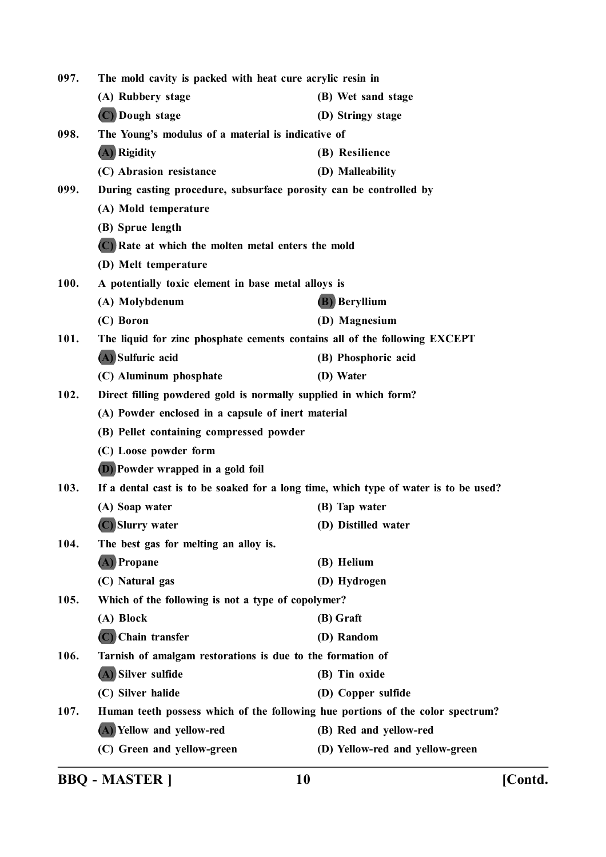| The mold cavity is packed with heat cure acrylic resin in<br>097. |                                                                                |                                                                                      |
|-------------------------------------------------------------------|--------------------------------------------------------------------------------|--------------------------------------------------------------------------------------|
|                                                                   | (A) Rubbery stage                                                              | (B) Wet sand stage                                                                   |
|                                                                   | (C) Dough stage                                                                | (D) Stringy stage                                                                    |
| 098.                                                              | The Young's modulus of a material is indicative of                             |                                                                                      |
|                                                                   | (A) Rigidity                                                                   | (B) Resilience                                                                       |
|                                                                   | (C) Abrasion resistance                                                        | (D) Malleability                                                                     |
| 099.                                                              | During casting procedure, subsurface porosity can be controlled by             |                                                                                      |
|                                                                   | (A) Mold temperature                                                           |                                                                                      |
|                                                                   | (B) Sprue length                                                               |                                                                                      |
|                                                                   | (C) Rate at which the molten metal enters the mold                             |                                                                                      |
|                                                                   | (D) Melt temperature                                                           |                                                                                      |
| 100.                                                              | A potentially toxic element in base metal alloys is                            |                                                                                      |
|                                                                   | (A) Molybdenum                                                                 | <b>(B)</b> Beryllium                                                                 |
|                                                                   | (C) Boron                                                                      | (D) Magnesium                                                                        |
| 101.                                                              | The liquid for zinc phosphate cements contains all of the following EXCEPT     |                                                                                      |
|                                                                   | (A) Sulfuric acid                                                              | (B) Phosphoric acid                                                                  |
|                                                                   | (C) Aluminum phosphate                                                         | (D) Water                                                                            |
| 102.                                                              | Direct filling powdered gold is normally supplied in which form?               |                                                                                      |
|                                                                   | (A) Powder enclosed in a capsule of inert material                             |                                                                                      |
|                                                                   | (B) Pellet containing compressed powder                                        |                                                                                      |
|                                                                   | (C) Loose powder form                                                          |                                                                                      |
|                                                                   | <b>D</b> ) Powder wrapped in a gold foil                                       |                                                                                      |
| 103.                                                              |                                                                                | If a dental cast is to be soaked for a long time, which type of water is to be used? |
|                                                                   | (A) Soap water                                                                 | (B) Tap water                                                                        |
|                                                                   | (C) Slurry water                                                               | (D) Distilled water                                                                  |
| 104.                                                              | The best gas for melting an alloy is.                                          |                                                                                      |
|                                                                   | (A) Propane                                                                    | (B) Helium                                                                           |
|                                                                   | (C) Natural gas                                                                | (D) Hydrogen                                                                         |
| 105.                                                              | Which of the following is not a type of copolymer?                             |                                                                                      |
|                                                                   | (A) Block                                                                      | (B) Graft                                                                            |
|                                                                   | (C) Chain transfer                                                             | (D) Random                                                                           |
| 106.                                                              | Tarnish of amalgam restorations is due to the formation of                     |                                                                                      |
|                                                                   | (A) Silver sulfide                                                             | (B) Tin oxide                                                                        |
|                                                                   | (C) Silver halide                                                              | (D) Copper sulfide                                                                   |
| 107.                                                              | Human teeth possess which of the following hue portions of the color spectrum? |                                                                                      |
|                                                                   | (A) Yellow and yellow-red                                                      | (B) Red and yellow-red                                                               |
|                                                                   | (C) Green and yellow-green                                                     | (D) Yellow-red and yellow-green                                                      |

**BBQ - MASTER ] 10 [Contd.**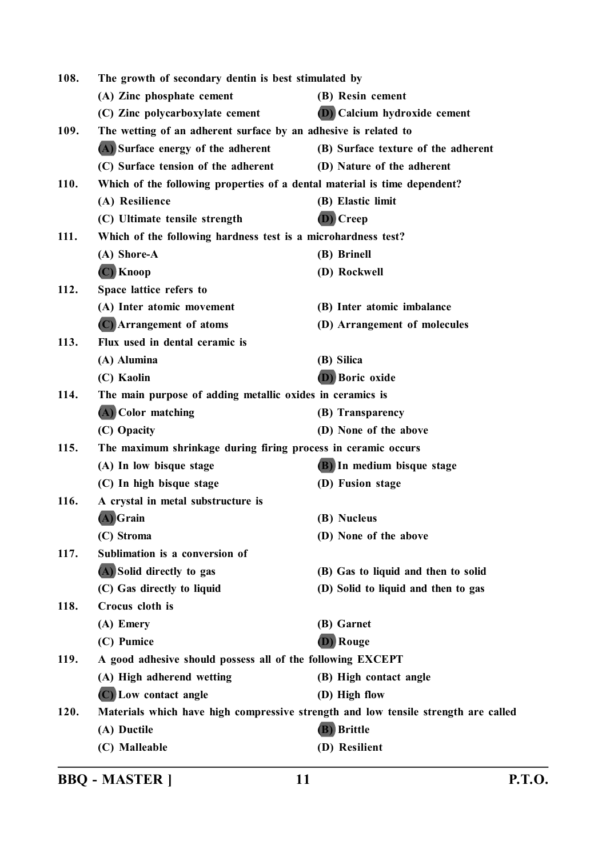| 108. | The growth of secondary dentin is best stimulated by                               |                                     |
|------|------------------------------------------------------------------------------------|-------------------------------------|
|      | (A) Zinc phosphate cement                                                          | (B) Resin cement                    |
|      | (C) Zinc polycarboxylate cement                                                    | <b>D</b> Calcium hydroxide cement   |
| 109. | The wetting of an adherent surface by an adhesive is related to                    |                                     |
|      | (A) Surface energy of the adherent                                                 | (B) Surface texture of the adherent |
|      | (C) Surface tension of the adherent                                                | (D) Nature of the adherent          |
| 110. | Which of the following properties of a dental material is time dependent?          |                                     |
|      | (A) Resilience                                                                     | (B) Elastic limit                   |
|      | (C) Ultimate tensile strength                                                      | (D) Creep                           |
| 111. | Which of the following hardness test is a microhardness test?                      |                                     |
|      | (A) Shore-A                                                                        | (B) Brinell                         |
|      | (C) Knoop                                                                          | (D) Rockwell                        |
| 112. | Space lattice refers to                                                            |                                     |
|      | (A) Inter atomic movement                                                          | (B) Inter atomic imbalance          |
|      | (C) Arrangement of atoms                                                           | (D) Arrangement of molecules        |
| 113. | Flux used in dental ceramic is                                                     |                                     |
|      | (A) Alumina                                                                        | (B) Silica                          |
|      | (C) Kaolin                                                                         | (D) Boric oxide                     |
| 114. | The main purpose of adding metallic oxides in ceramics is                          |                                     |
|      | (A) Color matching                                                                 | (B) Transparency                    |
|      | (C) Opacity                                                                        | (D) None of the above               |
| 115. | The maximum shrinkage during firing process in ceramic occurs                      |                                     |
|      | (A) In low bisque stage                                                            | (B) In medium bisque stage          |
|      | (C) In high bisque stage                                                           | (D) Fusion stage                    |
| 116. | A crystal in metal substructure is                                                 |                                     |
|      | (A) Grain                                                                          | (B) Nucleus                         |
|      | (C) Stroma                                                                         | (D) None of the above               |
| 117. | Sublimation is a conversion of                                                     |                                     |
|      | (A) Solid directly to gas                                                          | (B) Gas to liquid and then to solid |
|      | (C) Gas directly to liquid                                                         | (D) Solid to liquid and then to gas |
| 118. | Crocus cloth is                                                                    |                                     |
|      | (A) Emery                                                                          | (B) Garnet                          |
|      | (C) Pumice                                                                         | Rouge                               |
| 119. | A good adhesive should possess all of the following EXCEPT                         |                                     |
|      | (A) High adherend wetting                                                          | (B) High contact angle              |
|      | (C) Low contact angle                                                              | (D) High flow                       |
| 120. | Materials which have high compressive strength and low tensile strength are called |                                     |
|      | (A) Ductile                                                                        | (B) Brittle                         |
|      | (C) Malleable                                                                      | (D) Resilient                       |
|      |                                                                                    |                                     |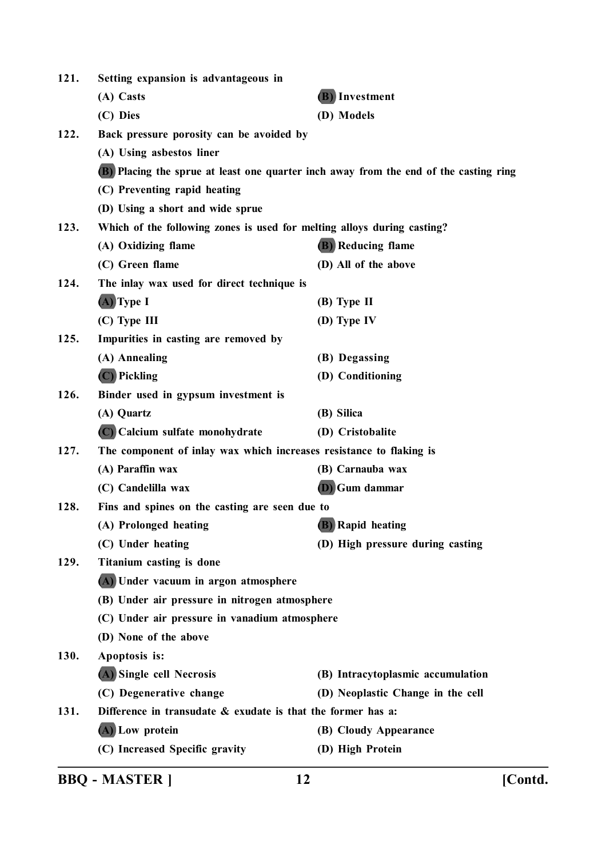| 121. | Setting expansion is advantageous in                                    |                                                                                       |
|------|-------------------------------------------------------------------------|---------------------------------------------------------------------------------------|
|      | (A) Casts                                                               | (B) Investment                                                                        |
|      | (C) Dies                                                                | (D) Models                                                                            |
| 122. | Back pressure porosity can be avoided by                                |                                                                                       |
|      | (A) Using asbestos liner                                                |                                                                                       |
|      |                                                                         | (B) Placing the sprue at least one quarter inch away from the end of the casting ring |
|      | (C) Preventing rapid heating                                            |                                                                                       |
|      | (D) Using a short and wide sprue                                        |                                                                                       |
| 123. | Which of the following zones is used for melting alloys during casting? |                                                                                       |
|      | (A) Oxidizing flame                                                     | <b>(B)</b> Reducing flame                                                             |
|      | (C) Green flame                                                         | (D) All of the above                                                                  |
| 124. | The inlay wax used for direct technique is                              |                                                                                       |
|      | $(A)$ Type I                                                            | $(B)$ Type II                                                                         |
|      | $(C)$ Type III                                                          | (D) Type IV                                                                           |
| 125. | Impurities in casting are removed by                                    |                                                                                       |
|      | (A) Annealing                                                           | (B) Degassing                                                                         |
|      | (C) Pickling                                                            | (D) Conditioning                                                                      |
| 126. | Binder used in gypsum investment is                                     |                                                                                       |
|      | (A) Quartz                                                              | (B) Silica                                                                            |
|      | (C) Calcium sulfate monohydrate                                         | (D) Cristobalite                                                                      |
| 127. | The component of inlay wax which increases resistance to flaking is     |                                                                                       |
|      | (A) Paraffin wax                                                        | (B) Carnauba wax                                                                      |
|      | (C) Candelilla wax                                                      | <b>(D)</b> Gum dammar                                                                 |
| 128. | Fins and spines on the casting are seen due to                          |                                                                                       |
|      | (A) Prolonged heating                                                   | (B) Rapid heating                                                                     |
|      | (C) Under heating                                                       | (D) High pressure during casting                                                      |
| 129. | Titanium casting is done                                                |                                                                                       |
|      | (A) Under vacuum in argon atmosphere                                    |                                                                                       |
|      | (B) Under air pressure in nitrogen atmosphere                           |                                                                                       |
|      | (C) Under air pressure in vanadium atmosphere                           |                                                                                       |
|      | (D) None of the above                                                   |                                                                                       |
| 130. | Apoptosis is:                                                           |                                                                                       |
|      | (A) Single cell Necrosis                                                | (B) Intracytoplasmic accumulation                                                     |
|      | (C) Degenerative change                                                 | (D) Neoplastic Change in the cell                                                     |
| 131. | Difference in transudate $\&$ exudate is that the former has a:         |                                                                                       |
|      | (A) Low protein                                                         | (B) Cloudy Appearance                                                                 |
|      | (C) Increased Specific gravity                                          | (D) High Protein                                                                      |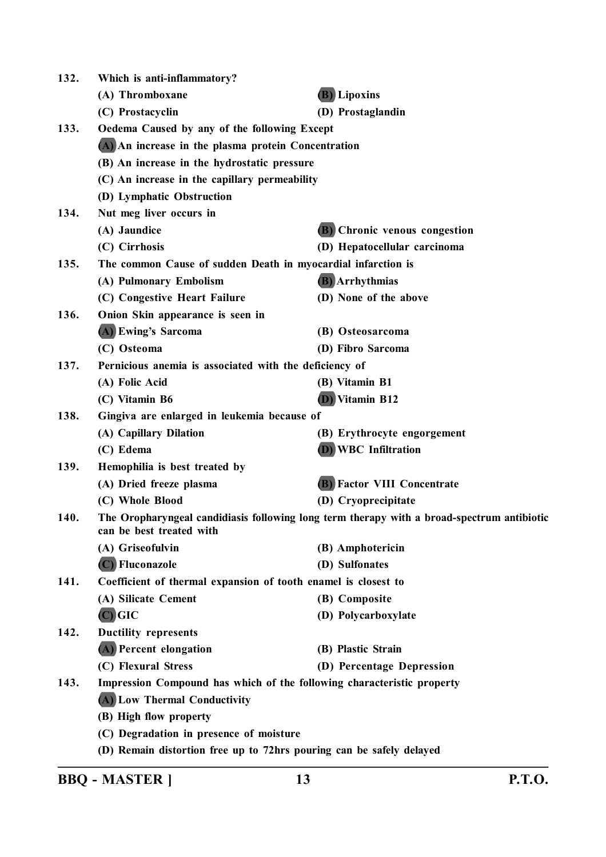| 132. | Which is anti-inflammatory?                                                                                            |                                    |  |
|------|------------------------------------------------------------------------------------------------------------------------|------------------------------------|--|
|      | (A) Thromboxane                                                                                                        | <b>(B)</b> Lipoxins                |  |
|      | (C) Prostacyclin                                                                                                       | (D) Prostaglandin                  |  |
| 133. | Oedema Caused by any of the following Except                                                                           |                                    |  |
|      | (A) An increase in the plasma protein Concentration                                                                    |                                    |  |
|      | (B) An increase in the hydrostatic pressure                                                                            |                                    |  |
|      | (C) An increase in the capillary permeability                                                                          |                                    |  |
|      | (D) Lymphatic Obstruction                                                                                              |                                    |  |
| 134. | Nut meg liver occurs in                                                                                                |                                    |  |
|      | (A) Jaundice                                                                                                           | (B) Chronic venous congestion      |  |
|      | (C) Cirrhosis                                                                                                          | (D) Hepatocellular carcinoma       |  |
| 135. | The common Cause of sudden Death in myocardial infarction is                                                           |                                    |  |
|      | (A) Pulmonary Embolism                                                                                                 | <b>(B)</b> Arrhythmias             |  |
|      | (C) Congestive Heart Failure                                                                                           | (D) None of the above              |  |
| 136. | Onion Skin appearance is seen in                                                                                       |                                    |  |
|      | (A) Ewing's Sarcoma                                                                                                    | (B) Osteosarcoma                   |  |
|      | (C) Osteoma                                                                                                            | (D) Fibro Sarcoma                  |  |
| 137. | Pernicious anemia is associated with the deficiency of                                                                 |                                    |  |
|      | (A) Folic Acid                                                                                                         | (B) Vitamin B1                     |  |
|      | (C) Vitamin B6                                                                                                         | (D) Vitamin B12                    |  |
| 138. | Gingiva are enlarged in leukemia because of                                                                            |                                    |  |
|      | (A) Capillary Dilation                                                                                                 | (B) Erythrocyte engorgement        |  |
|      | (C) Edema                                                                                                              | <b>(D)</b> WBC Infiltration        |  |
| 139. | Hemophilia is best treated by                                                                                          |                                    |  |
|      | (A) Dried freeze plasma                                                                                                | <b>(B)</b> Factor VIII Concentrate |  |
|      | (C) Whole Blood                                                                                                        | (D) Cryoprecipitate                |  |
| 140. | The Oropharyngeal candidiasis following long term therapy with a broad-spectrum antibiotic<br>can be best treated with |                                    |  |
|      | (A) Griseofulvin                                                                                                       | (B) Amphotericin                   |  |
|      | (C) Fluconazole                                                                                                        | (D) Sulfonates                     |  |
| 141. | Coefficient of thermal expansion of tooth enamel is closest to                                                         |                                    |  |
|      | (A) Silicate Cement                                                                                                    | (B) Composite                      |  |
|      | $(C)$ GIC                                                                                                              | (D) Polycarboxylate                |  |
| 142. | <b>Ductility represents</b>                                                                                            |                                    |  |
|      | (A) Percent elongation                                                                                                 | (B) Plastic Strain                 |  |
|      | (C) Flexural Stress                                                                                                    | (D) Percentage Depression          |  |
| 143. | Impression Compound has which of the following characteristic property                                                 |                                    |  |
|      | (A) Low Thermal Conductivity                                                                                           |                                    |  |
|      | (B) High flow property                                                                                                 |                                    |  |
|      | (C) Degradation in presence of moisture                                                                                |                                    |  |
|      | (D) Remain distortion free up to 72hrs pouring can be safely delayed                                                   |                                    |  |
|      |                                                                                                                        |                                    |  |

**BBQ - MASTER ] 13 P.T.O.**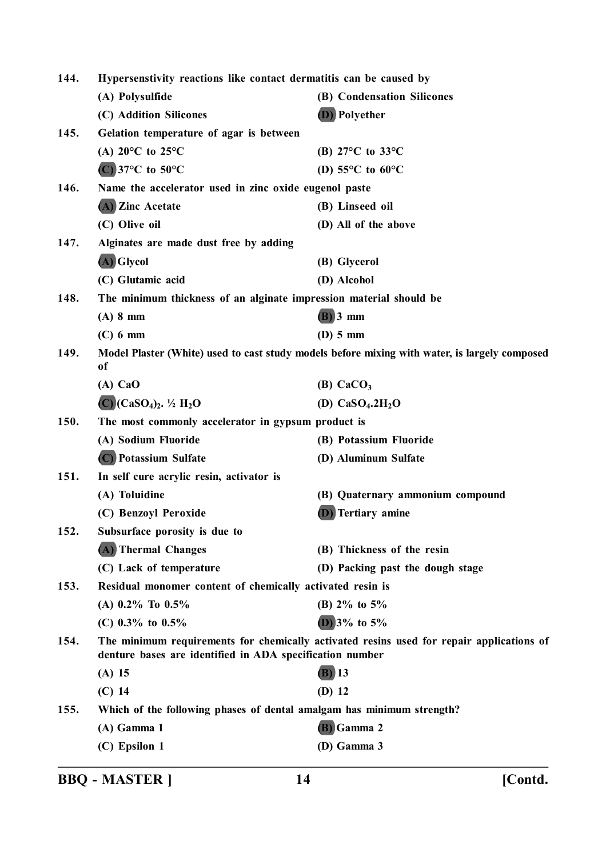| Hypersenstivity reactions like contact dermatitis can be caused by<br>144.                                                                                   |                                                                                                     |                                                        |
|--------------------------------------------------------------------------------------------------------------------------------------------------------------|-----------------------------------------------------------------------------------------------------|--------------------------------------------------------|
|                                                                                                                                                              | (A) Polysulfide                                                                                     | (B) Condensation Silicones                             |
|                                                                                                                                                              | (C) Addition Silicones                                                                              | (D) Polyether                                          |
| 145.                                                                                                                                                         | Gelation temperature of agar is between                                                             |                                                        |
|                                                                                                                                                              | (A) $20^{\circ}$ C to $25^{\circ}$ C                                                                | (B) $27^{\circ}$ C to $33^{\circ}$ C                   |
|                                                                                                                                                              | $(C)$ 37°C to 50°C                                                                                  | (D) 55 $\mathrm{^{\circ}C}$ to 60 $\mathrm{^{\circ}C}$ |
| 146.                                                                                                                                                         | Name the accelerator used in zinc oxide eugenol paste                                               |                                                        |
|                                                                                                                                                              | (A) Zinc Acetate                                                                                    | (B) Linseed oil                                        |
|                                                                                                                                                              | (C) Olive oil                                                                                       | (D) All of the above                                   |
| 147.                                                                                                                                                         | Alginates are made dust free by adding                                                              |                                                        |
|                                                                                                                                                              | (A) Glycol                                                                                          | (B) Glycerol                                           |
|                                                                                                                                                              | (C) Glutamic acid                                                                                   | (D) Alcohol                                            |
| 148.<br>The minimum thickness of an alginate impression material should be                                                                                   |                                                                                                     |                                                        |
|                                                                                                                                                              | $(A)$ 8 mm                                                                                          | $(B)$ 3 mm                                             |
|                                                                                                                                                              | $(C)$ 6 mm                                                                                          | $(D)$ 5 mm                                             |
| 149.                                                                                                                                                         | Model Plaster (White) used to cast study models before mixing with water, is largely composed<br>of |                                                        |
|                                                                                                                                                              | $(A)$ CaO                                                                                           | (B) $CaCO3$                                            |
|                                                                                                                                                              | $(C)(CaSO4)2$ . ½ H <sub>2</sub> O                                                                  | (D) $CaSO_4.2H_2O$                                     |
| 150.                                                                                                                                                         | The most commonly accelerator in gypsum product is                                                  |                                                        |
|                                                                                                                                                              | (A) Sodium Fluoride                                                                                 | (B) Potassium Fluoride                                 |
|                                                                                                                                                              | (C) Potassium Sulfate                                                                               | (D) Aluminum Sulfate                                   |
| 151.                                                                                                                                                         | In self cure acrylic resin, activator is                                                            |                                                        |
|                                                                                                                                                              | (A) Toluidine                                                                                       | (B) Quaternary ammonium compound                       |
|                                                                                                                                                              | (C) Benzoyl Peroxide                                                                                | Tertiary amine                                         |
| 152.                                                                                                                                                         | Subsurface porosity is due to                                                                       |                                                        |
|                                                                                                                                                              | (A) Thermal Changes                                                                                 | (B) Thickness of the resin                             |
|                                                                                                                                                              | (C) Lack of temperature                                                                             | (D) Packing past the dough stage                       |
| Residual monomer content of chemically activated resin is<br>153.                                                                                            |                                                                                                     |                                                        |
|                                                                                                                                                              | (A) $0.2\%$ To $0.5\%$                                                                              | (B) $2\%$ to $5\%$                                     |
|                                                                                                                                                              | (C) $0.3\%$ to $0.5\%$                                                                              | (D) $3\%$ to $5\%$                                     |
| The minimum requirements for chemically activated resins used for repair applications of<br>154.<br>denture bases are identified in ADA specification number |                                                                                                     |                                                        |
|                                                                                                                                                              | $(A)$ 15                                                                                            | $(B)$ 13                                               |
|                                                                                                                                                              | $(C)$ 14                                                                                            | $(D)$ 12                                               |
| 155.                                                                                                                                                         | Which of the following phases of dental amalgam has minimum strength?                               |                                                        |
|                                                                                                                                                              | $(A)$ Gamma 1                                                                                       | (B) Gamma 2                                            |
|                                                                                                                                                              | (C) Epsilon 1                                                                                       | (D) Gamma 3                                            |
|                                                                                                                                                              |                                                                                                     |                                                        |

**BBQ - MASTER ] 14 [Contd.**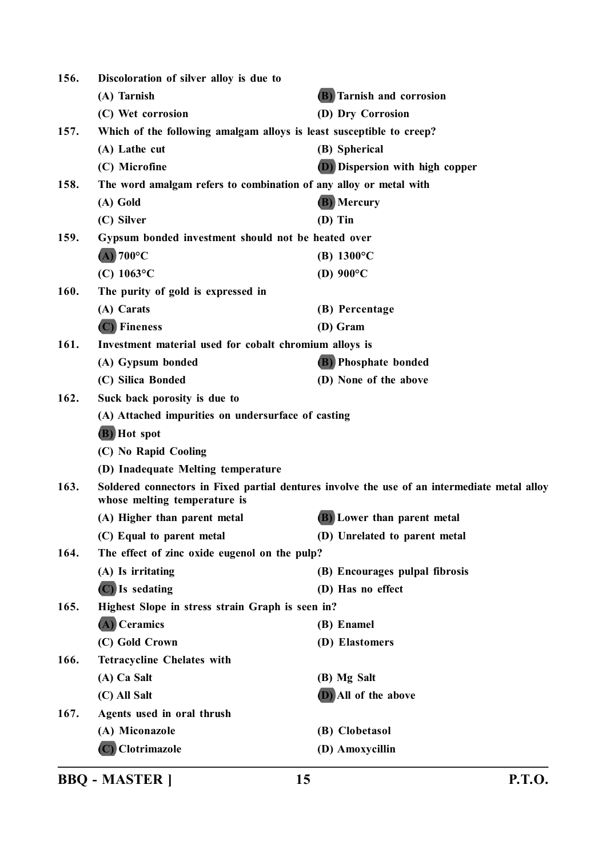| 156.                                                                                                                                 | Discoloration of silver alloy is due to                           |                                        |
|--------------------------------------------------------------------------------------------------------------------------------------|-------------------------------------------------------------------|----------------------------------------|
|                                                                                                                                      | (A) Tarnish                                                       | <b>(B)</b> Tarnish and corrosion       |
|                                                                                                                                      | (C) Wet corrosion                                                 | (D) Dry Corrosion                      |
| Which of the following amalgam alloys is least susceptible to creep?<br>157.                                                         |                                                                   |                                        |
|                                                                                                                                      | (A) Lathe cut                                                     | (B) Spherical                          |
|                                                                                                                                      | (C) Microfine                                                     | <b>(D)</b> Dispersion with high copper |
| 158.                                                                                                                                 | The word amalgam refers to combination of any alloy or metal with |                                        |
|                                                                                                                                      | (A) Gold                                                          | (B) Mercury                            |
|                                                                                                                                      | (C) Silver                                                        | $(D)$ Tin                              |
| 159.<br>Gypsum bonded investment should not be heated over                                                                           |                                                                   |                                        |
|                                                                                                                                      | $(A)$ 700°C                                                       | (B) $1300^{\circ}$ C                   |
|                                                                                                                                      | (C) $1063^{\circ}$ C                                              | (D) $900^{\circ}$ C                    |
| 160.                                                                                                                                 | The purity of gold is expressed in                                |                                        |
|                                                                                                                                      | (A) Carats                                                        | (B) Percentage                         |
|                                                                                                                                      | (C) Fineness                                                      | (D) Gram                               |
| 161.                                                                                                                                 | Investment material used for cobalt chromium alloys is            |                                        |
|                                                                                                                                      | (A) Gypsum bonded                                                 | (B) Phosphate bonded                   |
|                                                                                                                                      | (C) Silica Bonded                                                 | (D) None of the above                  |
| 162.                                                                                                                                 | Suck back porosity is due to                                      |                                        |
|                                                                                                                                      | (A) Attached impurities on undersurface of casting                |                                        |
|                                                                                                                                      | (B) Hot spot                                                      |                                        |
|                                                                                                                                      | (C) No Rapid Cooling                                              |                                        |
|                                                                                                                                      | (D) Inadequate Melting temperature                                |                                        |
| 163.<br>Soldered connectors in Fixed partial dentures involve the use of an intermediate metal alloy<br>whose melting temperature is |                                                                   |                                        |
|                                                                                                                                      | (A) Higher than parent metal                                      | (B) Lower than parent metal            |
|                                                                                                                                      | (C) Equal to parent metal                                         | (D) Unrelated to parent metal          |
| 164.                                                                                                                                 | The effect of zinc oxide eugenol on the pulp?                     |                                        |
|                                                                                                                                      | (A) Is irritating                                                 | (B) Encourages pulpal fibrosis         |
|                                                                                                                                      | $(C)$ Is sedating                                                 | (D) Has no effect                      |
| 165.                                                                                                                                 | Highest Slope in stress strain Graph is seen in?                  |                                        |
|                                                                                                                                      | (A) Ceramics                                                      | (B) Enamel                             |
|                                                                                                                                      | (C) Gold Crown                                                    | (D) Elastomers                         |
| 166.                                                                                                                                 | <b>Tetracycline Chelates with</b>                                 |                                        |
|                                                                                                                                      | (A) Ca Salt                                                       | (B) Mg Salt                            |
|                                                                                                                                      | (C) All Salt                                                      | (D) All of the above                   |
| 167.                                                                                                                                 | Agents used in oral thrush                                        |                                        |
|                                                                                                                                      | (A) Miconazole                                                    | (B) Clobetasol                         |
|                                                                                                                                      | (C) Clotrimazole                                                  | (D) Amoxycillin                        |
|                                                                                                                                      |                                                                   |                                        |

**BBQ - MASTER ] 15 P.T.O.**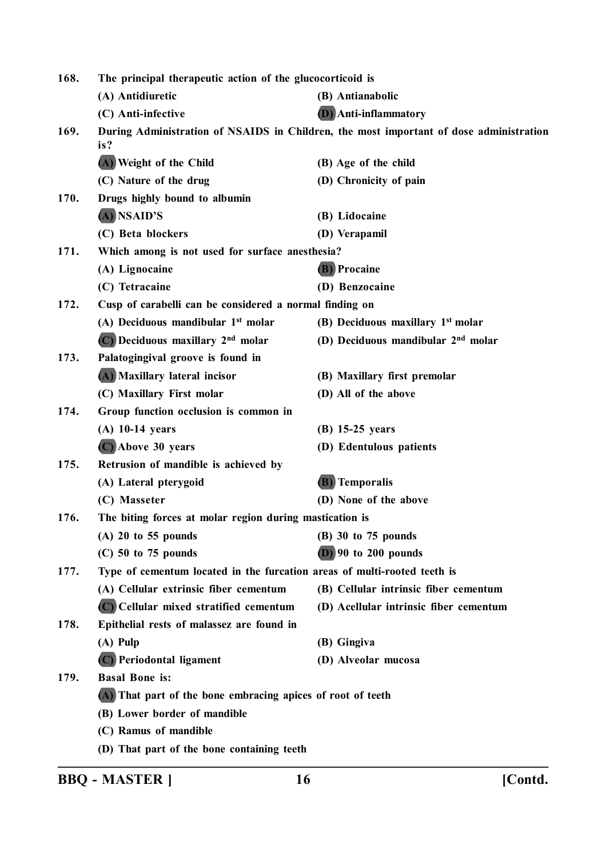| 168.                                                                                                  | The principal therapeutic action of the glucocorticoid is                |                                                |
|-------------------------------------------------------------------------------------------------------|--------------------------------------------------------------------------|------------------------------------------------|
|                                                                                                       | (A) Antidiuretic                                                         | (B) Antianabolic                               |
|                                                                                                       | (C) Anti-infective                                                       | <b>D</b> ) Anti-inflammatory                   |
| During Administration of NSAIDS in Children, the most important of dose administration<br>169.<br>is? |                                                                          |                                                |
|                                                                                                       | (A) Weight of the Child                                                  | (B) Age of the child                           |
|                                                                                                       | (C) Nature of the drug                                                   | (D) Chronicity of pain                         |
| 170.                                                                                                  | Drugs highly bound to albumin                                            |                                                |
|                                                                                                       | (A) NSAID'S                                                              | (B) Lidocaine                                  |
|                                                                                                       | (C) Beta blockers                                                        | (D) Verapamil                                  |
| 171.<br>Which among is not used for surface anesthesia?                                               |                                                                          |                                                |
|                                                                                                       | (A) Lignocaine                                                           | <b>(B)</b> Procaine                            |
|                                                                                                       | (C) Tetracaine                                                           | (D) Benzocaine                                 |
| 172.                                                                                                  | Cusp of carabelli can be considered a normal finding on                  |                                                |
|                                                                                                       | (A) Deciduous mandibular 1 <sup>st</sup> molar                           | (B) Deciduous maxillary 1st molar              |
|                                                                                                       | (C) Deciduous maxillary 2 <sup>nd</sup> molar                            | (D) Deciduous mandibular 2 <sup>nd</sup> molar |
| 173.                                                                                                  | Palatogingival groove is found in                                        |                                                |
|                                                                                                       | (A) Maxillary lateral incisor                                            | (B) Maxillary first premolar                   |
|                                                                                                       | (C) Maxillary First molar                                                | (D) All of the above                           |
| 174.                                                                                                  | Group function occlusion is common in                                    |                                                |
|                                                                                                       | $(A)$ 10-14 years                                                        | $(B)$ 15-25 years                              |
|                                                                                                       | (C) Above 30 years                                                       | (D) Edentulous patients                        |
| 175.                                                                                                  | Retrusion of mandible is achieved by                                     |                                                |
|                                                                                                       | (A) Lateral pterygoid                                                    | <b>(B)</b> Temporalis                          |
|                                                                                                       | (C) Masseter                                                             | (D) None of the above                          |
| 176.                                                                                                  | The biting forces at molar region during mastication is                  |                                                |
|                                                                                                       | $(A)$ 20 to 55 pounds                                                    | (B) 30 to 75 pounds                            |
|                                                                                                       | $(C)$ 50 to 75 pounds                                                    | $(D)$ 90 to 200 pounds                         |
| 177.                                                                                                  | Type of cementum located in the furcation areas of multi-rooted teeth is |                                                |
|                                                                                                       | (A) Cellular extrinsic fiber cementum                                    | (B) Cellular intrinsic fiber cementum          |
|                                                                                                       | (C) Cellular mixed stratified cementum                                   | (D) Acellular intrinsic fiber cementum         |
| 178.                                                                                                  | Epithelial rests of malassez are found in                                |                                                |
|                                                                                                       | $(A)$ Pulp                                                               | (B) Gingiva                                    |
|                                                                                                       | (C) Periodontal ligament                                                 | (D) Alveolar mucosa                            |
| 179.                                                                                                  | <b>Basal Bone is:</b>                                                    |                                                |
|                                                                                                       | (A) That part of the bone embracing apices of root of teeth              |                                                |
|                                                                                                       | (B) Lower border of mandible                                             |                                                |
|                                                                                                       | (C) Ramus of mandible                                                    |                                                |
|                                                                                                       | (D) That part of the bone containing teeth                               |                                                |

**BBQ - MASTER ] 16 [Contd.**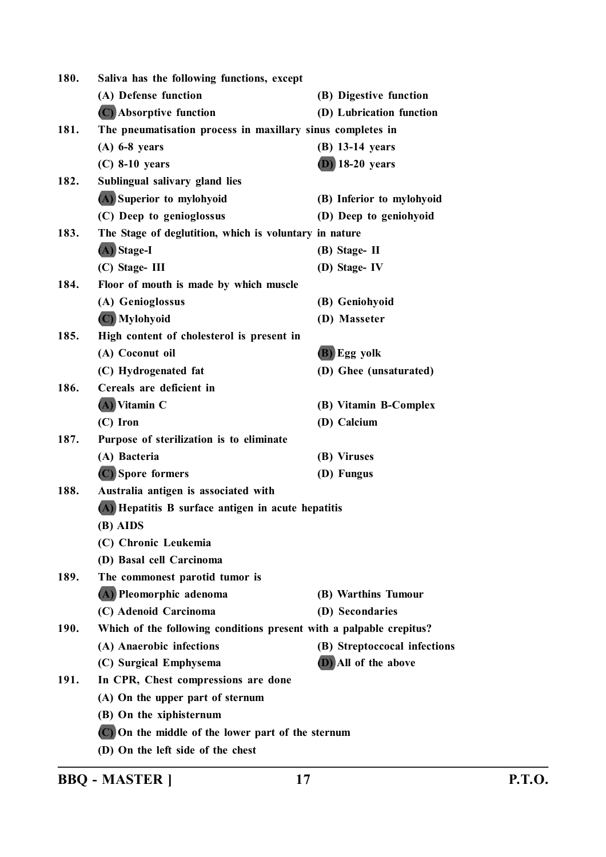| 180. | Saliva has the following functions, except                          |                              |
|------|---------------------------------------------------------------------|------------------------------|
|      | (A) Defense function                                                | (B) Digestive function       |
|      | (C) Absorptive function                                             | (D) Lubrication function     |
| 181. | The pneumatisation process in maxillary sinus completes in          |                              |
|      | $(A)$ 6-8 years                                                     | $(B)$ 13-14 years            |
|      | $(C)$ 8-10 years                                                    | $(D)$ 18-20 years            |
| 182. | Sublingual salivary gland lies                                      |                              |
|      | (A) Superior to mylohyoid                                           | (B) Inferior to mylohyoid    |
|      | (C) Deep to genioglossus                                            | (D) Deep to geniohyoid       |
| 183. | The Stage of deglutition, which is voluntary in nature              |                              |
|      | (A) Stage-I                                                         | (B) Stage-II                 |
|      | $(C)$ Stage-III                                                     | (D) Stage-IV                 |
| 184. | Floor of mouth is made by which muscle                              |                              |
|      | (A) Genioglossus                                                    | (B) Geniohyoid               |
|      | (C) Mylohyoid                                                       | (D) Masseter                 |
| 185. | High content of cholesterol is present in                           |                              |
|      | (A) Coconut oil                                                     | (B) Egg yolk                 |
|      | (C) Hydrogenated fat                                                | (D) Ghee (unsaturated)       |
| 186. | Cereals are deficient in                                            |                              |
|      | $(A)$ Vitamin C                                                     | (B) Vitamin B-Complex        |
|      | (C) Iron                                                            | (D) Calcium                  |
| 187. | Purpose of sterilization is to eliminate                            |                              |
|      | (A) Bacteria                                                        | (B) Viruses                  |
|      | (C) Spore formers                                                   | (D) Fungus                   |
| 188. | Australia antigen is associated with                                |                              |
|      | (A) Hepatitis B surface antigen in acute hepatitis                  |                              |
|      | (B) AIDS                                                            |                              |
|      | (C) Chronic Leukemia                                                |                              |
|      | (D) Basal cell Carcinoma                                            |                              |
| 189. | The commonest parotid tumor is                                      |                              |
|      | (A) Pleomorphic adenoma                                             | (B) Warthins Tumour          |
|      | (C) Adenoid Carcinoma                                               | (D) Secondaries              |
| 190. | Which of the following conditions present with a palpable crepitus? |                              |
|      | (A) Anaerobic infections                                            | (B) Streptoccocal infections |
|      | (C) Surgical Emphysema                                              | (D) All of the above         |
| 191. | In CPR, Chest compressions are done                                 |                              |
|      | (A) On the upper part of sternum                                    |                              |
|      | (B) On the xiphisternum                                             |                              |
|      | (C) On the middle of the lower part of the sternum                  |                              |
|      | (D) On the left side of the chest                                   |                              |